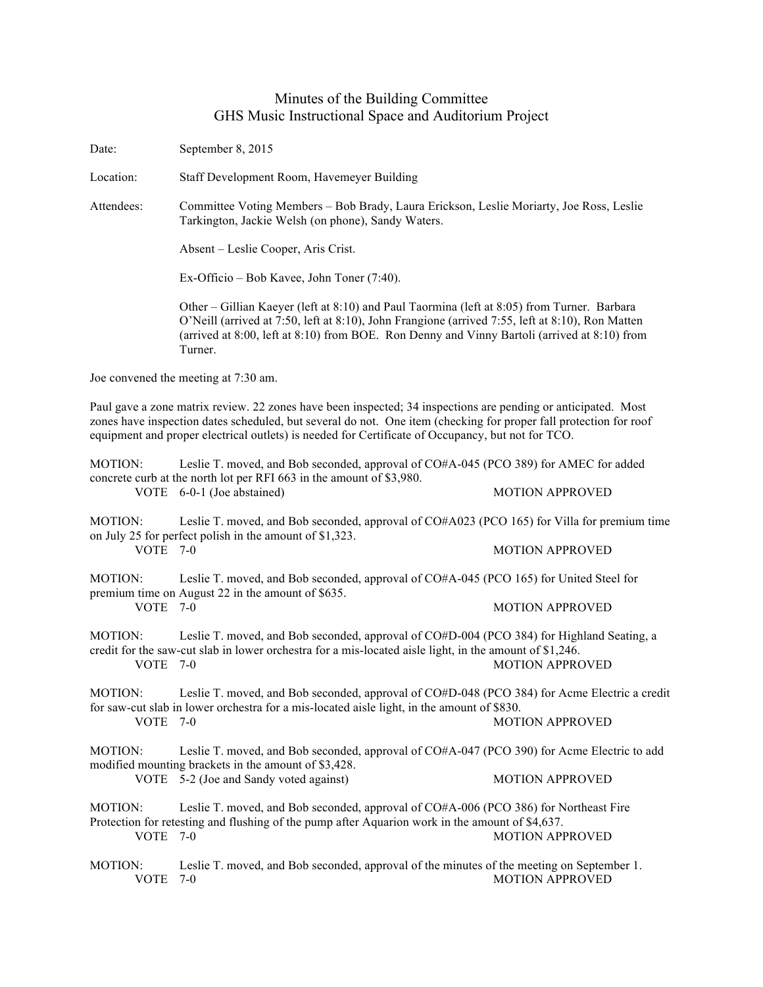## Minutes of the Building Committee GHS Music Instructional Space and Auditorium Project

Date: September 8, 2015

Location: Staff Development Room, Havemeyer Building

Attendees: Committee Voting Members – Bob Brady, Laura Erickson, Leslie Moriarty, Joe Ross, Leslie Tarkington, Jackie Welsh (on phone), Sandy Waters.

Absent – Leslie Cooper, Aris Crist.

Ex-Officio – Bob Kavee, John Toner (7:40).

Other – Gillian Kaeyer (left at 8:10) and Paul Taormina (left at 8:05) from Turner. Barbara O'Neill (arrived at 7:50, left at 8:10), John Frangione (arrived 7:55, left at 8:10), Ron Matten (arrived at 8:00, left at 8:10) from BOE. Ron Denny and Vinny Bartoli (arrived at 8:10) from Turner.

Joe convened the meeting at 7:30 am.

Paul gave a zone matrix review. 22 zones have been inspected; 34 inspections are pending or anticipated. Most zones have inspection dates scheduled, but several do not. One item (checking for proper fall protection for roof equipment and proper electrical outlets) is needed for Certificate of Occupancy, but not for TCO.

| Leslie T. moved, and Bob seconded, approval of CO#A-045 (PCO 389) for AMEC for added |
|--------------------------------------------------------------------------------------|
|                                                                                      |
|                                                                                      |
|                                                                                      |

MOTION: Leslie T. moved, and Bob seconded, approval of CO#A023 (PCO 165) for Villa for premium time on July 25 for perfect polish in the amount of \$1,323. VOTE 7-0 MOTION APPROVED

MOTION: Leslie T. moved, and Bob seconded, approval of CO#A-045 (PCO 165) for United Steel for premium time on August 22 in the amount of \$635. VOTE 7-0 MOTION APPROVED

MOTION: Leslie T. moved, and Bob seconded, approval of CO#D-004 (PCO 384) for Highland Seating, a credit for the saw-cut slab in lower orchestra for a mis-located aisle light, in the amount of \$1,246. VOTE 7-0 MOTION APPROVED

MOTION: Leslie T. moved, and Bob seconded, approval of CO#D-048 (PCO 384) for Acme Electric a credit for saw-cut slab in lower orchestra for a mis-located aisle light, in the amount of \$830. VOTE 7-0 MOTION APPROVED

MOTION: Leslie T. moved, and Bob seconded, approval of CO#A-047 (PCO 390) for Acme Electric to add modified mounting brackets in the amount of \$3,428.

VOTE 5-2 (Joe and Sandy voted against) MOTION APPROVED

MOTION: Leslie T. moved, and Bob seconded, approval of CO#A-006 (PCO 386) for Northeast Fire Protection for retesting and flushing of the pump after Aquarion work in the amount of \$4,637. VOTE 7-0 MOTION APPROVED

MOTION: Leslie T. moved, and Bob seconded, approval of the minutes of the meeting on September 1. VOTE 7-0 MOTION APPROVED